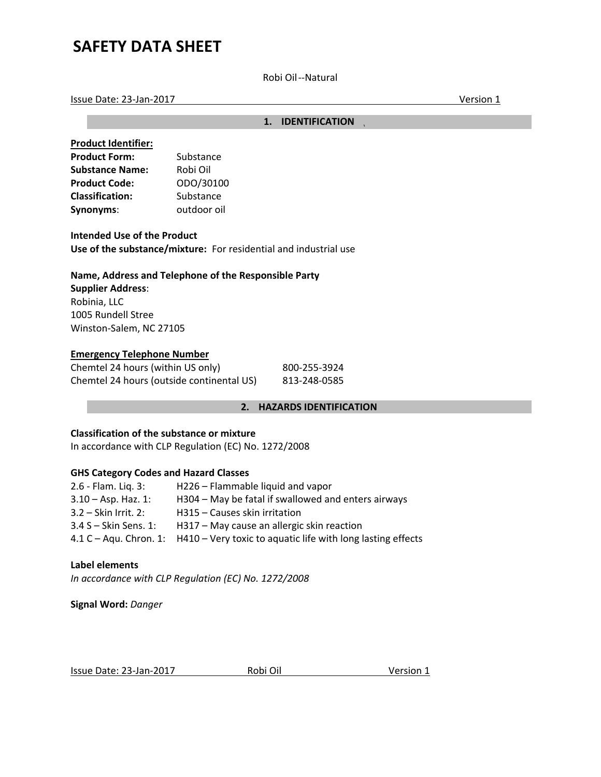Robi Oil ‐‐Natural

Issue Date: 23‐Jan‐2017 Version 1

**1. IDENTIFICATION** 

| <b>Product Identifier:</b> |             |
|----------------------------|-------------|
| <b>Product Form:</b>       | Substance   |
| <b>Substance Name:</b>     | Robi Oil    |
| <b>Product Code:</b>       | ODO/30100   |
| <b>Classification:</b>     | Substance   |
| Synonyms:                  | outdoor oil |

**Intended Use of the Product Use of the substance/mixture:**  For residential and industrial use

## **Name, Address and Telephone of the Responsible Party**

**Supplier Address**: Robinia, LLC 1005 Rundell Stree Winston‐Salem, NC 27105

## **Emergency Telephone Number**

| Chemtel 24 hours (within US only)         | 800-255-3924 |
|-------------------------------------------|--------------|
| Chemtel 24 hours (outside continental US) | 813-248-0585 |

#### **2. HAZARDS IDENTIFICATION**

### **Classification of the substance or mixture**

In accordance with CLP Regulation (EC) No. 1272/2008

## **GHS Category Codes and Hazard Classes**

| $2.6$ - Flam. Lig. $3:$ | H226 - Flammable liquid and vapor                                                  |
|-------------------------|------------------------------------------------------------------------------------|
| $3.10 - Asp.$ Haz. 1:   | H304 – May be fatal if swallowed and enters airways                                |
| $3.2 -$ Skin Irrit. 2:  | H315 - Causes skin irritation                                                      |
| $3.4$ S – Skin Sens. 1: | H317 – May cause an allergic skin reaction                                         |
|                         | 4.1 C – Aqu. Chron. 1: H410 – Very toxic to aquatic life with long lasting effects |

#### **Label elements**

*In accordance with CLP Regulation (EC) No. 1272/2008* 

**Signal Word:** *Danger* 

|  | Issue Date: 23-Jan-2017 | Robi Oil | Version 1 |
|--|-------------------------|----------|-----------|
|--|-------------------------|----------|-----------|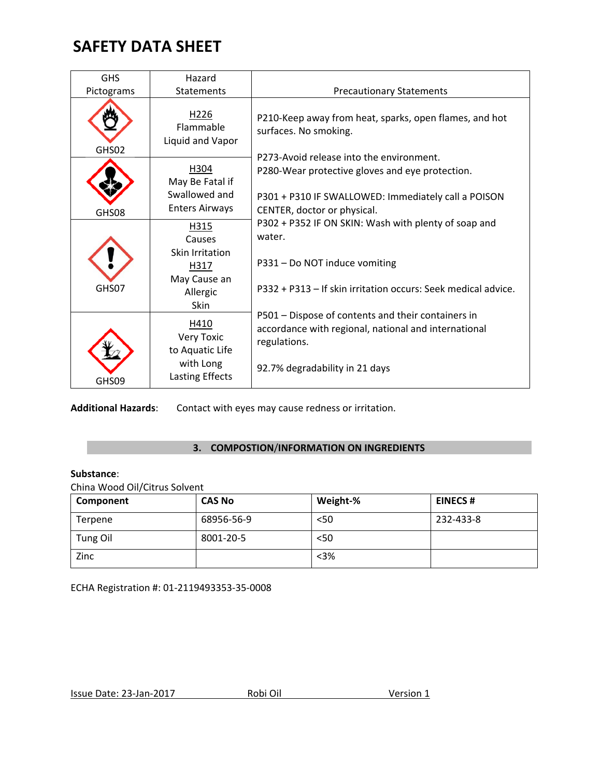| <b>GHS</b> | Hazard                                            |                                                                                                                             |
|------------|---------------------------------------------------|-----------------------------------------------------------------------------------------------------------------------------|
| Pictograms | Statements                                        | <b>Precautionary Statements</b>                                                                                             |
| GHS02      | H <sub>226</sub><br>Flammable<br>Liquid and Vapor | P210-Keep away from heat, sparks, open flames, and hot<br>surfaces. No smoking.<br>P273-Avoid release into the environment. |
|            | H304<br>May Be Fatal if                           | P280-Wear protective gloves and eye protection.                                                                             |
| GHS08      | Swallowed and<br><b>Enters Airways</b>            | P301 + P310 IF SWALLOWED: Immediately call a POISON<br>CENTER, doctor or physical.                                          |
|            | H315<br>Causes                                    | P302 + P352 IF ON SKIN: Wash with plenty of soap and<br>water.                                                              |
|            | Skin Irritation<br>H317                           | P331 - Do NOT induce vomiting                                                                                               |
| GHS07      | May Cause an<br>Allergic<br>Skin                  | P332 + P313 – If skin irritation occurs: Seek medical advice.                                                               |
|            | H410<br>Very Toxic<br>to Aquatic Life             | P501 – Dispose of contents and their containers in<br>accordance with regional, national and international<br>regulations.  |
| GHS09      | with Long<br>Lasting Effects                      | 92.7% degradability in 21 days                                                                                              |

**Additional Hazards**: Contact with eyes may cause redness or irritation.

## **3. COMPOSTION**/**INFORMATION ON INGREDIENTS**

#### **Substance**:

China Wood Oil/Citrus Solvent

| Component       | <b>CAS No</b> | Weight-% | <b>EINECS#</b> |
|-----------------|---------------|----------|----------------|
| Terpene         | 68956-56-9    | $50$     | 232-433-8      |
| <b>Tung Oil</b> | 8001-20-5     | $50$     |                |
| Zinc            |               | $<3\%$   |                |

ECHA Registration #: 01‐2119493353‐35‐0008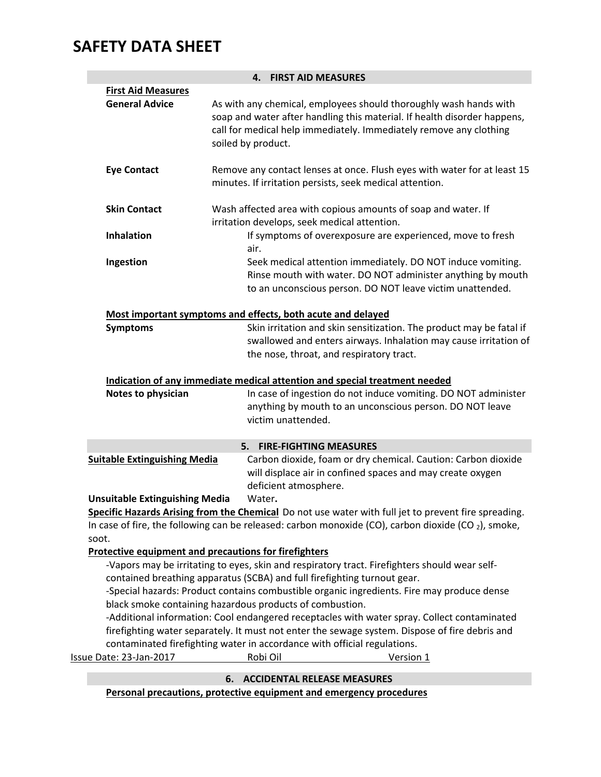|                                                       |    | 4. FIRST AID MEASURES                                                                                                                                                                                                                     |
|-------------------------------------------------------|----|-------------------------------------------------------------------------------------------------------------------------------------------------------------------------------------------------------------------------------------------|
| <b>First Aid Measures</b>                             |    |                                                                                                                                                                                                                                           |
| <b>General Advice</b>                                 |    | As with any chemical, employees should thoroughly wash hands with<br>soap and water after handling this material. If health disorder happens,<br>call for medical help immediately. Immediately remove any clothing<br>soiled by product. |
| <b>Eye Contact</b>                                    |    | Remove any contact lenses at once. Flush eyes with water for at least 15<br>minutes. If irritation persists, seek medical attention.                                                                                                      |
| <b>Skin Contact</b>                                   |    | Wash affected area with copious amounts of soap and water. If<br>irritation develops, seek medical attention.                                                                                                                             |
| <b>Inhalation</b>                                     |    | If symptoms of overexposure are experienced, move to fresh<br>air.                                                                                                                                                                        |
| Ingestion                                             |    | Seek medical attention immediately. DO NOT induce vomiting.<br>Rinse mouth with water. DO NOT administer anything by mouth<br>to an unconscious person. DO NOT leave victim unattended.                                                   |
|                                                       |    | Most important symptoms and effects, both acute and delayed                                                                                                                                                                               |
| <b>Symptoms</b>                                       |    | Skin irritation and skin sensitization. The product may be fatal if<br>swallowed and enters airways. Inhalation may cause irritation of<br>the nose, throat, and respiratory tract.                                                       |
|                                                       |    | Indication of any immediate medical attention and special treatment needed                                                                                                                                                                |
| Notes to physician                                    |    | In case of ingestion do not induce vomiting. DO NOT administer<br>anything by mouth to an unconscious person. DO NOT leave<br>victim unattended.                                                                                          |
|                                                       |    | 5. FIRE-FIGHTING MEASURES                                                                                                                                                                                                                 |
| <b>Suitable Extinguishing Media</b>                   |    | Carbon dioxide, foam or dry chemical. Caution: Carbon dioxide<br>will displace air in confined spaces and may create oxygen<br>deficient atmosphere.                                                                                      |
| <b>Unsuitable Extinguishing Media</b>                 |    | Water.                                                                                                                                                                                                                                    |
|                                                       |    | Specific Hazards Arising from the Chemical Do not use water with full jet to prevent fire spreading.                                                                                                                                      |
|                                                       |    | In case of fire, the following can be released: carbon monoxide (CO), carbon dioxide (CO <sub>2</sub> ), smoke,                                                                                                                           |
| soot.                                                 |    |                                                                                                                                                                                                                                           |
| Protective equipment and precautions for firefighters |    |                                                                                                                                                                                                                                           |
|                                                       |    | -Vapors may be irritating to eyes, skin and respiratory tract. Firefighters should wear self-                                                                                                                                             |
|                                                       |    | contained breathing apparatus (SCBA) and full firefighting turnout gear.                                                                                                                                                                  |
|                                                       |    | -Special hazards: Product contains combustible organic ingredients. Fire may produce dense                                                                                                                                                |
|                                                       |    | black smoke containing hazardous products of combustion.<br>-Additional information: Cool endangered receptacles with water spray. Collect contaminated                                                                                   |
|                                                       |    | firefighting water separately. It must not enter the sewage system. Dispose of fire debris and                                                                                                                                            |
|                                                       |    | contaminated firefighting water in accordance with official regulations.                                                                                                                                                                  |
| Issue Date: 23-Jan-2017                               |    | Robi Oil<br>Version 1                                                                                                                                                                                                                     |
|                                                       |    |                                                                                                                                                                                                                                           |
|                                                       | 6. | <b>ACCIDENTAL RELEASE MEASURES</b>                                                                                                                                                                                                        |

**Personal precautions, protective equipment and emergency procedures**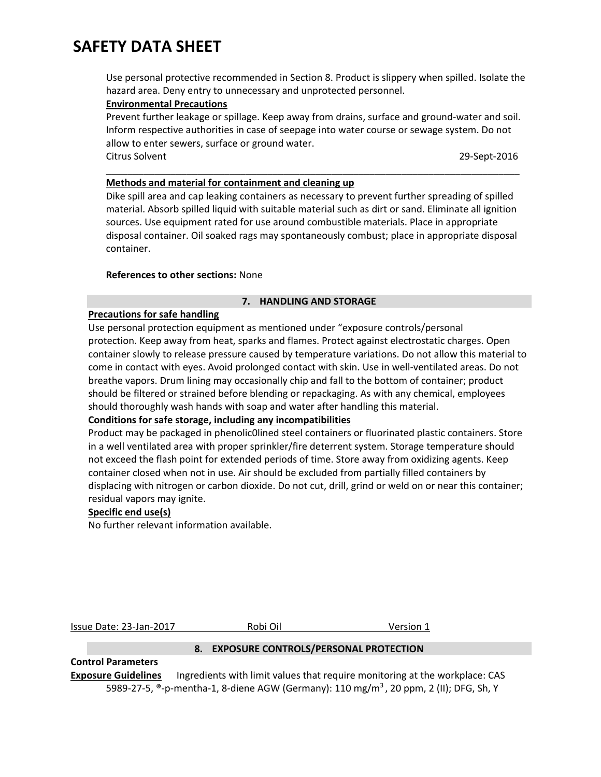Use personal protective recommended in Section 8. Product is slippery when spilled. Isolate the hazard area. Deny entry to unnecessary and unprotected personnel.

### **Environmental Precautions**

Prevent further leakage or spillage. Keep away from drains, surface and ground‐water and soil. Inform respective authorities in case of seepage into water course or sewage system. Do not allow to enter sewers, surface or ground water. Citrus Solvent 29‐Sept‐2016

\_\_\_\_\_\_\_\_\_\_\_\_\_\_\_\_\_\_\_\_\_\_\_\_\_\_\_\_\_\_\_\_\_\_\_\_\_\_\_\_\_\_\_\_\_\_\_\_\_\_\_\_\_\_\_\_\_\_\_\_\_\_\_\_\_\_\_\_\_\_\_\_\_\_\_\_\_

### **Methods and material for containment and cleaning up**

Dike spill area and cap leaking containers as necessary to prevent further spreading of spilled material. Absorb spilled liquid with suitable material such as dirt or sand. Eliminate all ignition sources. Use equipment rated for use around combustible materials. Place in appropriate disposal container. Oil soaked rags may spontaneously combust; place in appropriate disposal container.

#### **References to other sections:** None

#### **7. HANDLING AND STORAGE**

## **Precautions for safe handling**

Use personal protection equipment as mentioned under "exposure controls/personal protection. Keep away from heat, sparks and flames. Protect against electrostatic charges. Open container slowly to release pressure caused by temperature variations. Do not allow this material to come in contact with eyes. Avoid prolonged contact with skin. Use in well-ventilated areas. Do not breathe vapors. Drum lining may occasionally chip and fall to the bottom of container; product should be filtered or strained before blending or repackaging. As with any chemical, employees should thoroughly wash hands with soap and water after handling this material.

#### **Conditions for safe storage, including any incompatibilities**

Product may be packaged in phenolic0lined steel containers or fluorinated plastic containers. Store in a well ventilated area with proper sprinkler/fire deterrent system. Storage temperature should not exceed the flash point for extended periods of time. Store away from oxidizing agents. Keep container closed when not in use. Air should be excluded from partially filled containers by displacing with nitrogen or carbon dioxide. Do not cut, drill, grind or weld on or near this container; residual vapors may ignite.

## **Specific end use(s)**

No further relevant information available.

Issue Date: 23‐Jan‐2017 Robi Oil Version 1

#### **8. EXPOSURE CONTROLS/PERSONAL PROTECTION**

## **Control Parameters**

**Exposure Guidelines**  Ingredients with limit values that require monitoring at the workplace: CAS 5989-27-5, ®-p-mentha-1, 8-diene AGW (Germany): 110 mg/m<sup>3</sup>, 20 ppm, 2 (II); DFG, Sh, Y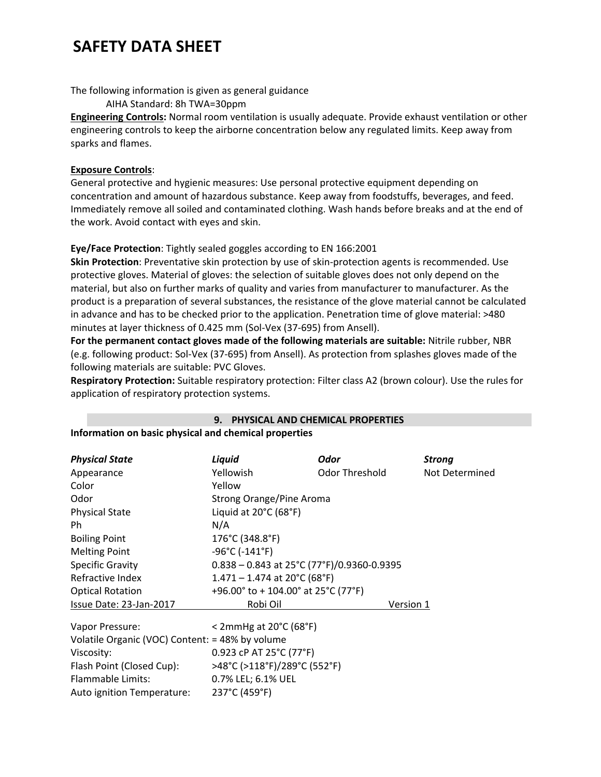The following information is given as general guidance

AIHA Standard: 8h TWA=30ppm

**Engineering Controls:** Normal room ventilation is usually adequate. Provide exhaust ventilation or other engineering controls to keep the airborne concentration below any regulated limits. Keep away from sparks and flames.

## **Exposure Controls**:

General protective and hygienic measures: Use personal protective equipment depending on concentration and amount of hazardous substance. Keep away from foodstuffs, beverages, and feed. Immediately remove all soiled and contaminated clothing. Wash hands before breaks and at the end of the work. Avoid contact with eyes and skin.

## **Eye/Face Protection**: Tightly sealed goggles according to EN 166:2001

**Skin Protection**: Preventative skin protection by use of skin‐protection agents is recommended. Use protective gloves. Material of gloves: the selection of suitable gloves does not only depend on the material, but also on further marks of quality and varies from manufacturer to manufacturer. As the product is a preparation of several substances, the resistance of the glove material cannot be calculated in advance and has to be checked prior to the application. Penetration time of glove material: >480 minutes at layer thickness of 0.425 mm (Sol‐Vex (37‐695) from Ansell).

**For the permanent contact gloves made of the following materials are suitable:** Nitrile rubber, NBR (e.g. following product: Sol‐Vex (37‐695) from Ansell). As protection from splashes gloves made of the following materials are suitable: PVC Gloves.

**Respiratory Protection:** Suitable respiratory protection: Filter class A2 (brown colour). Use the rules for application of respiratory protection systems.

**9. PHYSICAL AND CHEMICAL PROPERTIES** 

| <u>momation on pasic physical and chemical properties</u> |                                                |                |                |
|-----------------------------------------------------------|------------------------------------------------|----------------|----------------|
| <b>Physical State</b>                                     | Liquid                                         | Odor           | <b>Strong</b>  |
| Appearance                                                | Yellowish                                      | Odor Threshold | Not Determined |
| Color                                                     | Yellow                                         |                |                |
| Odor                                                      | Strong Orange/Pine Aroma                       |                |                |
| <b>Physical State</b>                                     | Liquid at 20°C (68°F)                          |                |                |
| Ph.                                                       | N/A                                            |                |                |
| <b>Boiling Point</b>                                      | 176°C (348.8°F)                                |                |                |
| <b>Melting Point</b>                                      | $-96^{\circ}$ C ( $-141^{\circ}$ F)            |                |                |
| <b>Specific Gravity</b>                                   | $0.838 - 0.843$ at 25°C (77°F)/0.9360-0.9395   |                |                |
| Refractive Index                                          | $1.471 - 1.474$ at 20°C (68°F)                 |                |                |
| <b>Optical Rotation</b>                                   | +96.00° to + 104.00° at 25°C (77°F)            |                |                |
| Issue Date: 23-Jan-2017                                   | Robi Oil                                       |                | Version 1      |
| Vapor Pressure:                                           | $<$ 2mmHg at 20 $^{\circ}$ C (68 $^{\circ}$ F) |                |                |
| Volatile Organic (VOC) Content: = 48% by volume           |                                                |                |                |
| Viscosity:                                                | 0.923 cP AT 25°C (77°F)                        |                |                |
| Flash Point (Closed Cup):                                 | >48°C (>118°F)/289°C (552°F)                   |                |                |
| Flammable Limits:                                         | 0.7% LEL; 6.1% UEL                             |                |                |
| Auto ignition Temperature:                                | 237°C (459°F)                                  |                |                |

**Information on basic physical and chemical properties**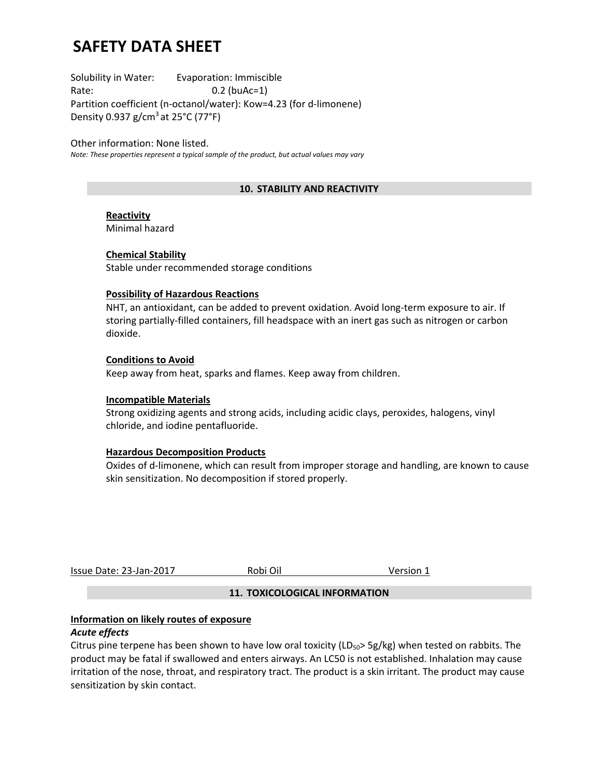Solubility in Water: Evaporation: Immiscible Rate: 0.2 (buAc=1) Partition coefficient (n‐octanol/water): Kow=4.23 (for d‐limonene) Density 0.937 g/cm<sup>3</sup> at 25 $\degree$ C (77 $\degree$ F)

Other information: None listed. *Note: These properties represent a typical sample of the product, but actual values may vary* 

## **10. STABILITY AND REACTIVITY**

#### **Reactivity**

Minimal hazard

#### **Chemical Stability**

Stable under recommended storage conditions

#### **Possibility of Hazardous Reactions**

NHT, an antioxidant, can be added to prevent oxidation. Avoid long‐term exposure to air. If storing partially‐filled containers, fill headspace with an inert gas such as nitrogen or carbon dioxide.

#### **Conditions to Avoid**

Keep away from heat, sparks and flames. Keep away from children.

#### **Incompatible Materials**

Strong oxidizing agents and strong acids, including acidic clays, peroxides, halogens, vinyl chloride, and iodine pentafluoride.

#### **Hazardous Decomposition Products**

Oxides of d‐limonene, which can result from improper storage and handling, are known to cause skin sensitization. No decomposition if stored properly.

Issue Date: 23‐Jan‐2017 Robi Oil Version 1

#### **11. TOXICOLOGICAL INFORMATION**

#### **Information on likely routes of exposure**

#### *Acute effects*

Citrus pine terpene has been shown to have low oral toxicity (LD<sub>50</sub>> 5g/kg) when tested on rabbits. The product may be fatal if swallowed and enters airways. An LC50 is not established. Inhalation may cause irritation of the nose, throat, and respiratory tract. The product is a skin irritant. The product may cause sensitization by skin contact.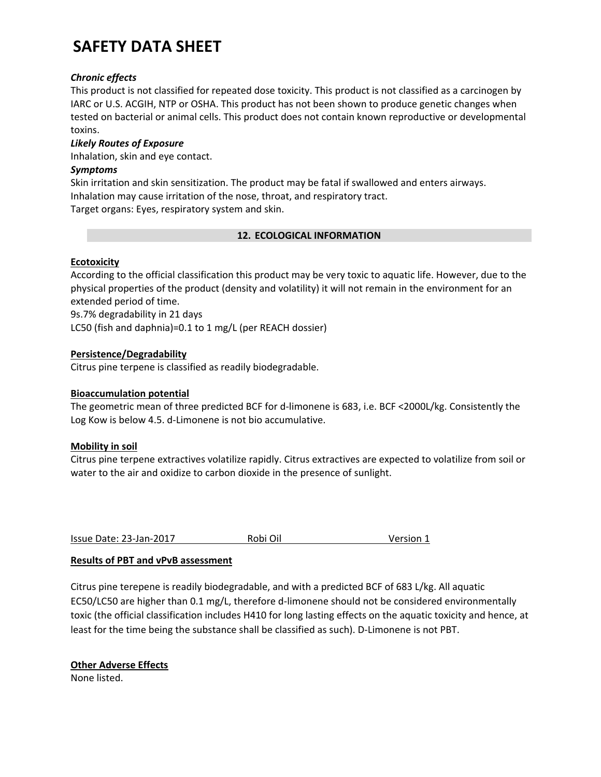## *Chronic effects*

This product is not classified for repeated dose toxicity. This product is not classified as a carcinogen by IARC or U.S. ACGIH, NTP or OSHA. This product has not been shown to produce genetic changes when tested on bacterial or animal cells. This product does not contain known reproductive or developmental toxins.

## *Likely Routes of Exposure*

Inhalation, skin and eye contact.

## *Symptoms*

Skin irritation and skin sensitization. The product may be fatal if swallowed and enters airways. Inhalation may cause irritation of the nose, throat, and respiratory tract. Target organs: Eyes, respiratory system and skin.

## **12. ECOLOGICAL INFORMATION**

## **Ecotoxicity**

According to the official classification this product may be very toxic to aquatic life. However, due to the physical properties of the product (density and volatility) it will not remain in the environment for an extended period of time.

9s.7% degradability in 21 days LC50 (fish and daphnia)=0.1 to 1 mg/L (per REACH dossier)

## **Persistence/Degradability**

Citrus pine terpene is classified as readily biodegradable.

## **Bioaccumulation potential**

The geometric mean of three predicted BCF for d-limonene is 683, i.e. BCF <2000L/kg. Consistently the Log Kow is below 4.5. d‐Limonene is not bio accumulative.

## **Mobility in soil**

Citrus pine terpene extractives volatilize rapidly. Citrus extractives are expected to volatilize from soil or water to the air and oxidize to carbon dioxide in the presence of sunlight.

Issue Date: 23‐Jan‐2017 Robi Oil Version 1

## **Results of PBT and vPvB assessment**

Citrus pine terepene is readily biodegradable, and with a predicted BCF of 683 L/kg. All aquatic EC50/LC50 are higher than 0.1 mg/L, therefore d-limonene should not be considered environmentally toxic (the official classification includes H410 for long lasting effects on the aquatic toxicity and hence, at least for the time being the substance shall be classified as such). D‐Limonene is not PBT.

**Other Adverse Effects**  None listed.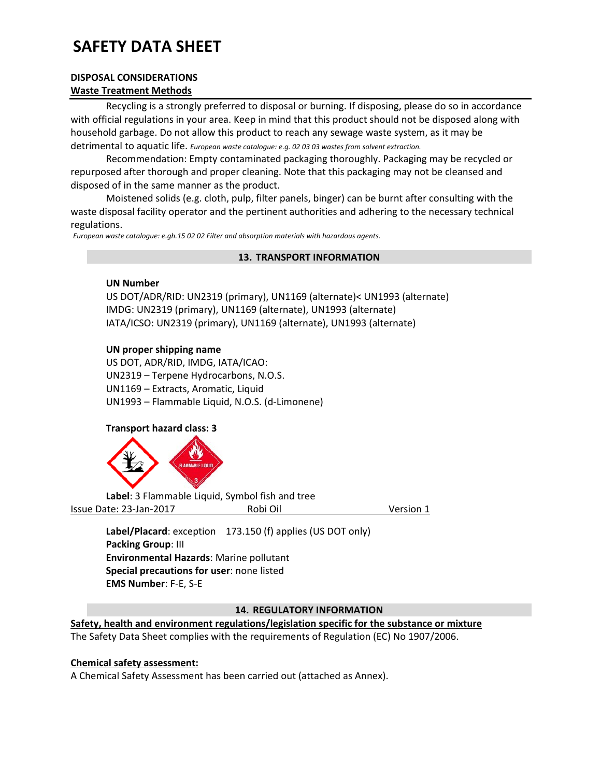#### **DISPOSAL CONSIDERATIONS Waste Treatment Methods**

Recycling is a strongly preferred to disposal or burning. If disposing, please do so in accordance with official regulations in your area. Keep in mind that this product should not be disposed along with household garbage. Do not allow this product to reach any sewage waste system, as it may be detrimental to aquatic life. *European waste catalogue: e.g. 02 03 03 wastes from solvent extraction.*

Recommendation: Empty contaminated packaging thoroughly. Packaging may be recycled or repurposed after thorough and proper cleaning. Note that this packaging may not be cleansed and disposed of in the same manner as the product.

 Moistened solids (e.g. cloth, pulp, filter panels, binger) can be burnt after consulting with the waste disposal facility operator and the pertinent authorities and adhering to the necessary technical regulations.

*European waste catalogue: e.gh.15 02 02 Filter and absorption materials with hazardous agents.* 

#### **13. TRANSPORT INFORMATION**

#### **UN Number**

US DOT/ADR/RID: UN2319 (primary), UN1169 (alternate)< UN1993 (alternate) IMDG: UN2319 (primary), UN1169 (alternate), UN1993 (alternate) IATA/ICSO: UN2319 (primary), UN1169 (alternate), UN1993 (alternate)

#### **UN proper shipping name**

US DOT, ADR/RID, IMDG, IATA/ICAO: UN2319 – Terpene Hydrocarbons, N.O.S. UN1169 – Extracts, Aromatic, Liquid UN1993 – Flammable Liquid, N.O.S. (d‐Limonene)

#### **Transport hazard class: 3**



 **Label**: 3 Flammable Liquid, Symbol fish and tree Issue Date: 23‐Jan‐2017 Robi Oil Version 1

**Label/Placard**: exception 173.150 (f) applies (US DOT only) **Packing Group**: III **Environmental Hazards**: Marine pollutant **Special precautions for user**: none listed **EMS Number**: F‐E, S‐E

#### **14. REGULATORY INFORMATION**

**Safety, health and environment regulations/legislation specific for the substance or mixture** 

The Safety Data Sheet complies with the requirements of Regulation (EC) No 1907/2006.

#### **Chemical safety assessment:**

A Chemical Safety Assessment has been carried out (attached as Annex).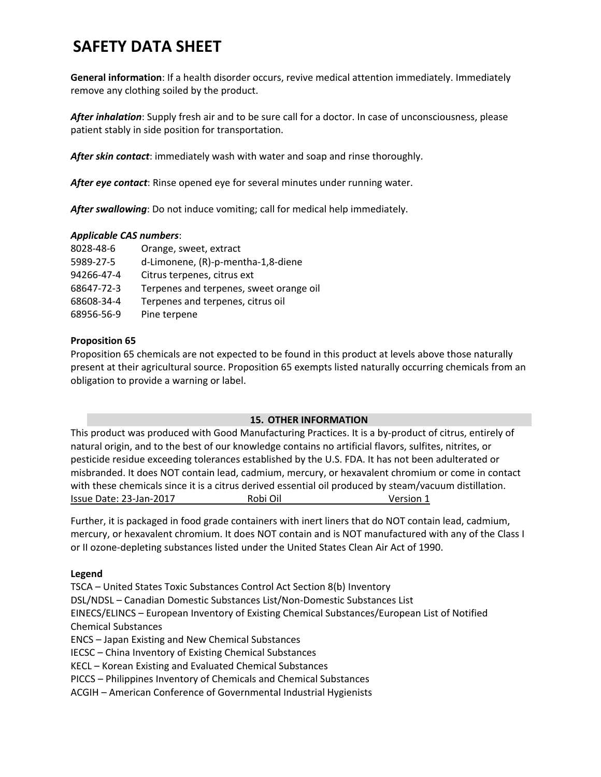**General information**: If a health disorder occurs, revive medical attention immediately. Immediately remove any clothing soiled by the product.

*After inhalation*: Supply fresh air and to be sure call for a doctor. In case of unconsciousness, please patient stably in side position for transportation.

*After skin contact*: immediately wash with water and soap and rinse thoroughly.

*After eye contact*: Rinse opened eye for several minutes under running water.

*After swallowing*: Do not induce vomiting; call for medical help immediately.

#### *Applicable CAS numbers*:

| 8028-48-6  | Orange, sweet, extract                  |
|------------|-----------------------------------------|
| 5989-27-5  | d-Limonene, (R)-p-mentha-1,8-diene      |
| 94266-47-4 | Citrus terpenes, citrus ext             |
| 68647-72-3 | Terpenes and terpenes, sweet orange oil |
| 68608-34-4 | Terpenes and terpenes, citrus oil       |
| 68956-56-9 | Pine terpene                            |

#### **Proposition 65**

Proposition 65 chemicals are not expected to be found in this product at levels above those naturally present at their agricultural source. Proposition 65 exempts listed naturally occurring chemicals from an obligation to provide a warning or label.

#### **15. OTHER INFORMATION**

This product was produced with Good Manufacturing Practices. It is a by‐product of citrus, entirely of natural origin, and to the best of our knowledge contains no artificial flavors, sulfites, nitrites, or pesticide residue exceeding tolerances established by the U.S. FDA. It has not been adulterated or misbranded. It does NOT contain lead, cadmium, mercury, or hexavalent chromium or come in contact with these chemicals since it is a citrus derived essential oil produced by steam/vacuum distillation. Issue Date: 23‐Jan‐2017 Robi Oil Version 1

Further, it is packaged in food grade containers with inert liners that do NOT contain lead, cadmium, mercury, or hexavalent chromium. It does NOT contain and is NOT manufactured with any of the Class I or II ozone‐depleting substances listed under the United States Clean Air Act of 1990.

#### **Legend**

TSCA – United States Toxic Substances Control Act Section 8(b) Inventory DSL/NDSL – Canadian Domestic Substances List/Non‐Domestic Substances List EINECS/ELINCS – European Inventory of Existing Chemical Substances/European List of Notified Chemical Substances ENCS – Japan Existing and New Chemical Substances IECSC – China Inventory of Existing Chemical Substances KECL – Korean Existing and Evaluated Chemical Substances PICCS – Philippines Inventory of Chemicals and Chemical Substances ACGIH – American Conference of Governmental Industrial Hygienists